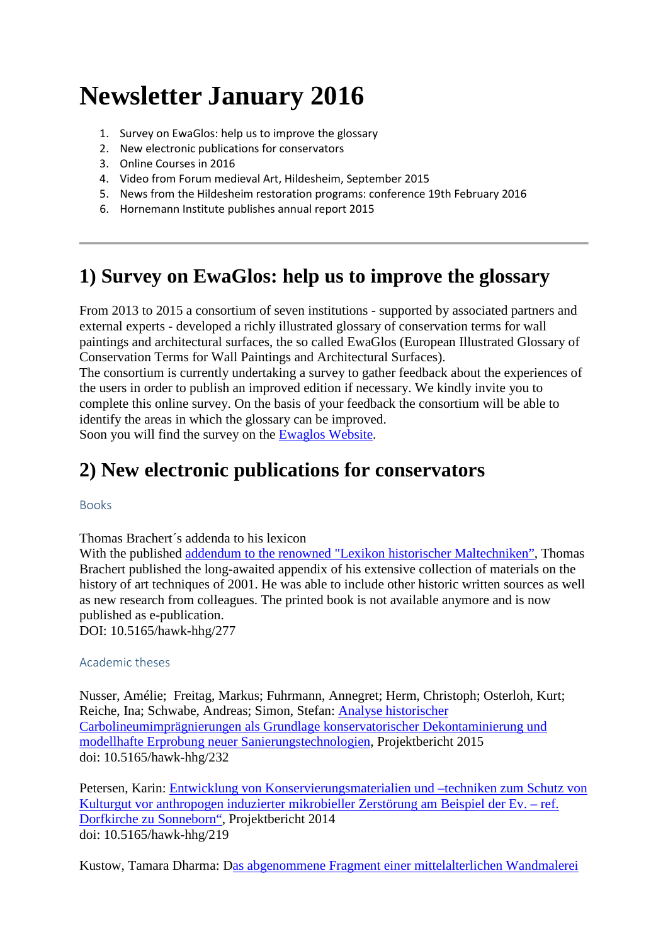# **Newsletter January 2016**

- 1. [Survey on EwaGlos: help us to improve the glossary](https://www.hornemann-institut.de/english/newsletter_jan_16.php#1)
- 2. [New electronic publications for conservators](https://www.hornemann-institut.de/english/newsletter_jan_16.php#2)
- 3. [Online Courses in 2016](https://www.hornemann-institut.de/english/newsletter_jan_16.php#3)
- 4. [Video from Forum medieval Art, Hildesheim, September 2015](https://www.hornemann-institut.de/english/newsletter_jan_16.php#4)
- 5. [News from the Hildesheim restoration programs: conference 19th February 2016](https://www.hornemann-institut.de/english/newsletter_jan_16.php#5)
- 6. [Hornemann Institute publishes annual report 2015](https://www.hornemann-institut.de/english/newsletter_jan_16.php#6)

#### **1) Survey on EwaGlos: help us to improve the glossary**

From 2013 to 2015 a consortium of seven institutions - supported by associated partners and external experts - developed a richly illustrated glossary of conservation terms for wall paintings and architectural surfaces, the so called EwaGlos (European Illustrated Glossary of Conservation Terms for Wall Paintings and Architectural Surfaces).

The consortium is currently undertaking a survey to gather feedback about the experiences of the users in order to publish an improved edition if necessary. We kindly invite you to complete this online survey. On the basis of your feedback the consortium will be able to identify the areas in which the glossary can be improved.

Soon you will find the survey on the [Ewaglos Website.](http://www.ewaglos.eu/)

### **2) New electronic publications for conservators**

Books

Thomas Brachert´s addenda to his lexicon

With the published **addendum** to the renowned "Lexikon historischer Maltechniken", Thomas Brachert published the long-awaited appendix of his extensive collection of materials on the history of art techniques of 2001. He was able to include other historic written sources as well as new research from colleagues. The printed book is not available anymore and is now published as e-publication. DOI: 10.5165/hawk-hhg/277

#### Academic theses

Nusser, Amélie; Freitag, Markus; Fuhrmann, Annegret; Herm, Christoph; Osterloh, Kurt; Reiche, Ina; Schwabe, Andreas; Simon, Stefan: [Analyse historischer](http://193.175.110.9/hornemann/german/epubl_projekte149.php)  [Carbolineumimprägnierungen als Grundlage konservatorischer Dekontaminierung und](http://193.175.110.9/hornemann/german/epubl_projekte149.php)  [modellhafte Erprobung neuer Sanierungstechnologien,](http://193.175.110.9/hornemann/german/epubl_projekte149.php) Projektbericht 2015 doi: 10.5165/hawk-hhg/232

Petersen, Karin: [Entwicklung von Konservierungsmaterialien und –techniken zum Schutz von](http://193.175.110.9/hornemann/german/epubl_projekte145.php)  [Kulturgut vor anthropogen induzierter mikrobieller Zerstörung am Beispiel der Ev. –](http://193.175.110.9/hornemann/german/epubl_projekte145.php) ref. [Dorfkirche zu Sonneborn",](http://193.175.110.9/hornemann/german/epubl_projekte145.php) Projektbericht 2014 doi: 10.5165/hawk-hhg/219

Kustow, Tamara Dharma: [Das abgenommene Fragment einer mittelalterlichen Wandmalerei](http://193.175.110.9/hornemann/german/epubl_ha_ausgabe.php?haid=2179&ha_sort=au&l=o&th=K&spra=deutsch&sort=ea_name&ref=/hornemann/german/epubl_hs_arbeiten.php)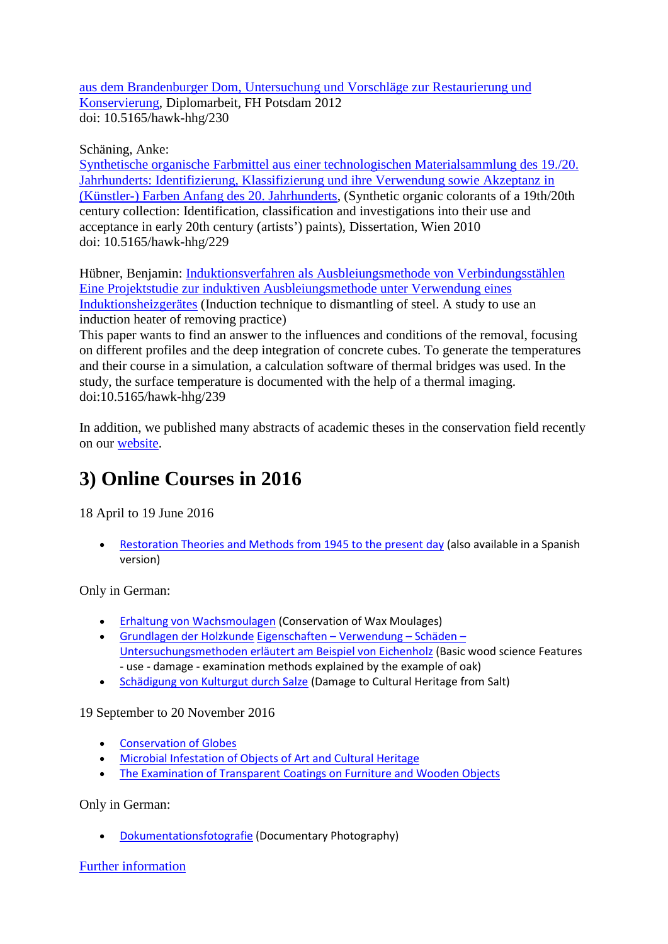[aus dem Brandenburger Dom, Untersuchung und Vorschläge zur Restaurierung und](http://193.175.110.9/hornemann/german/epubl_ha_ausgabe.php?haid=2179&ha_sort=au&l=o&th=K&spra=deutsch&sort=ea_name&ref=/hornemann/german/epubl_hs_arbeiten.php)  [Konservierung,](http://193.175.110.9/hornemann/german/epubl_ha_ausgabe.php?haid=2179&ha_sort=au&l=o&th=K&spra=deutsch&sort=ea_name&ref=/hornemann/german/epubl_hs_arbeiten.php) Diplomarbeit, FH Potsdam 2012 doi: 10.5165/hawk-hhg/230

Schäning, Anke:

[Synthetische organische Farbmittel aus einer technologischen Materialsammlung des 19./20.](http://www.hornemann-institut.de/german/epubl_hochschularbeiten2167.php)  [Jahrhunderts: Identifizierung, Klassifizierung und ihre Verwendung sowie Akzeptanz in](http://www.hornemann-institut.de/german/epubl_hochschularbeiten2167.php)  [\(Künstler-\) Farben Anfang des 20. Jahrhunderts,](http://www.hornemann-institut.de/german/epubl_hochschularbeiten2167.php) (Synthetic organic colorants of a 19th/20th century collection: Identification, classification and investigations into their use and acceptance in early 20th century (artists') paints), Dissertation, Wien 2010 doi: 10.5165/hawk-hhg/229

Hübner, Benjamin: [Induktionsverfahren als Ausbleiungsmethode von Verbindungsstählen](http://www.hornemann-institut.de/german/epubl_hochschularbeiten2261.php)  [Eine Projektstudie zur induktiven Ausbleiungsmethode unter Verwendung eines](http://www.hornemann-institut.de/german/epubl_hochschularbeiten2261.php)  [Induktionsheizgerätes](http://www.hornemann-institut.de/german/epubl_hochschularbeiten2261.php) (Induction technique to dismantling of steel. A study to use an induction heater of removing practice)

This paper wants to find an answer to the influences and conditions of the removal, focusing on different profiles and the deep integration of concrete cubes. To generate the temperatures and their course in a simulation, a calculation software of thermal bridges was used. In the study, the surface temperature is documented with the help of a thermal imaging. doi:10.5165/hawk-hhg/239

In addition, we published many abstracts of academic theses in the conservation field recently on our [website.](https://www.hornemann-institut.de/english/e_publication.php)

# **3) Online Courses in 2016**

18 April to 19 June 2016

• [Restoration Theories and Methods from 1945 to the present day](https://www.hornemann-institut.de/english/course_restoration_theories.php) (also available in a Spanish version)

Only in German:

- [Erhaltung von Wachsmoulagen](https://www.hornemann-institut.de/english/course_wax_moulages.php) (Conservation of Wax Moulages)
- [Grundlagen der Holzkunde](https://www.hornemann-institut.de/english/course_oak.php) [Eigenschaften –](https://www.hornemann-institut.de/english/course_oak.php) Verwendung Schäden [Untersuchungsmethoden erläutert am Beispiel von Eichenholz](https://www.hornemann-institut.de/english/course_oak.php) (Basic wood science Features - use - damage - examination methods explained by the example of oak)
- [Schädigung von Kulturgut durch Salze](https://www.hornemann-institut.de/english/course_salt.php) (Damage to Cultural Heritage from Salt)

19 September to 20 November 2016

- [Conservation of Globes](https://www.hornemann-institut.de/english/course_globes.php)
- [Microbial Infestation of Objects of Art and Cultural Heritage](https://www.hornemann-institut.de/english/course_microbiology.php)
- [The Examination of Transparent Coatings on Furniture and Wooden Objects](https://www.hornemann-institut.de/english/course_coatings.php)

Only in German:

• [Dokumentationsfotografie](https://www.hornemann-institut.de/english/course_docu_photography.php) (Documentary Photography)

[Further information](https://www.hornemann-institut.de/english/continuing_training.php)